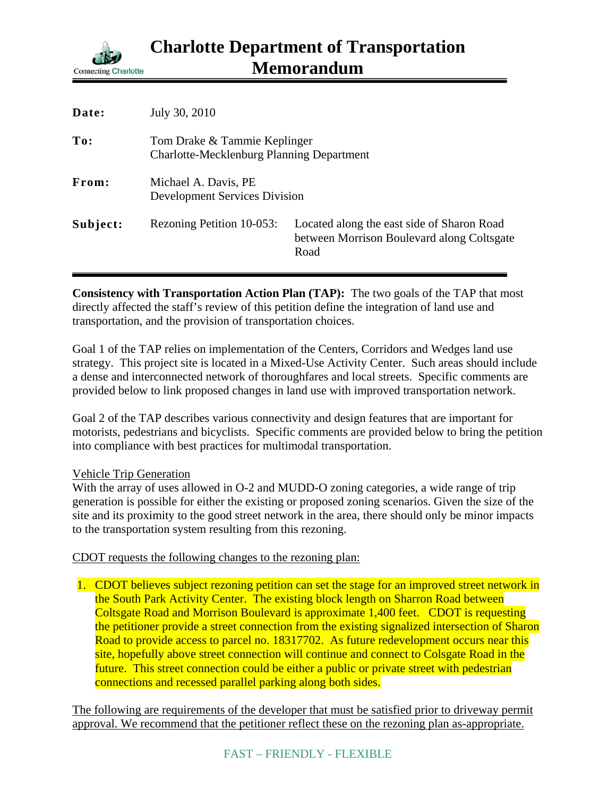

| Date:    | July 30, 2010                                                                    |                                                                                                  |
|----------|----------------------------------------------------------------------------------|--------------------------------------------------------------------------------------------------|
| To:      | Tom Drake & Tammie Keplinger<br><b>Charlotte-Mecklenburg Planning Department</b> |                                                                                                  |
| From:    | Michael A. Davis, PE<br><b>Development Services Division</b>                     |                                                                                                  |
| Subject: | Rezoning Petition 10-053:                                                        | Located along the east side of Sharon Road<br>between Morrison Boulevard along Coltsgate<br>Road |

**Consistency with Transportation Action Plan (TAP):** The two goals of the TAP that most directly affected the staff's review of this petition define the integration of land use and transportation, and the provision of transportation choices.

Goal 1 of the TAP relies on implementation of the Centers, Corridors and Wedges land use strategy. This project site is located in a Mixed-Use Activity Center. Such areas should include a dense and interconnected network of thoroughfares and local streets. Specific comments are provided below to link proposed changes in land use with improved transportation network.

Goal 2 of the TAP describes various connectivity and design features that are important for motorists, pedestrians and bicyclists. Specific comments are provided below to bring the petition into compliance with best practices for multimodal transportation.

## Vehicle Trip Generation

With the array of uses allowed in O-2 and MUDD-O zoning categories, a wide range of trip generation is possible for either the existing or proposed zoning scenarios. Given the size of the site and its proximity to the good street network in the area, there should only be minor impacts to the transportation system resulting from this rezoning.

CDOT requests the following changes to the rezoning plan:

1. CDOT believes subject rezoning petition can set the stage for an improved street network in the South Park Activity Center. The existing block length on Sharron Road between Coltsgate Road and Morrison Boulevard is approximate 1,400 feet. CDOT is requesting the petitioner provide a street connection from the existing signalized intersection of Sharon Road to provide access to parcel no. 18317702. As future redevelopment occurs near this site, hopefully above street connection will continue and connect to Colsgate Road in the future. This street connection could be either a public or private street with pedestrian connections and recessed parallel parking along both sides.

The following are requirements of the developer that must be satisfied prior to driveway permit approval. We recommend that the petitioner reflect these on the rezoning plan as-appropriate.